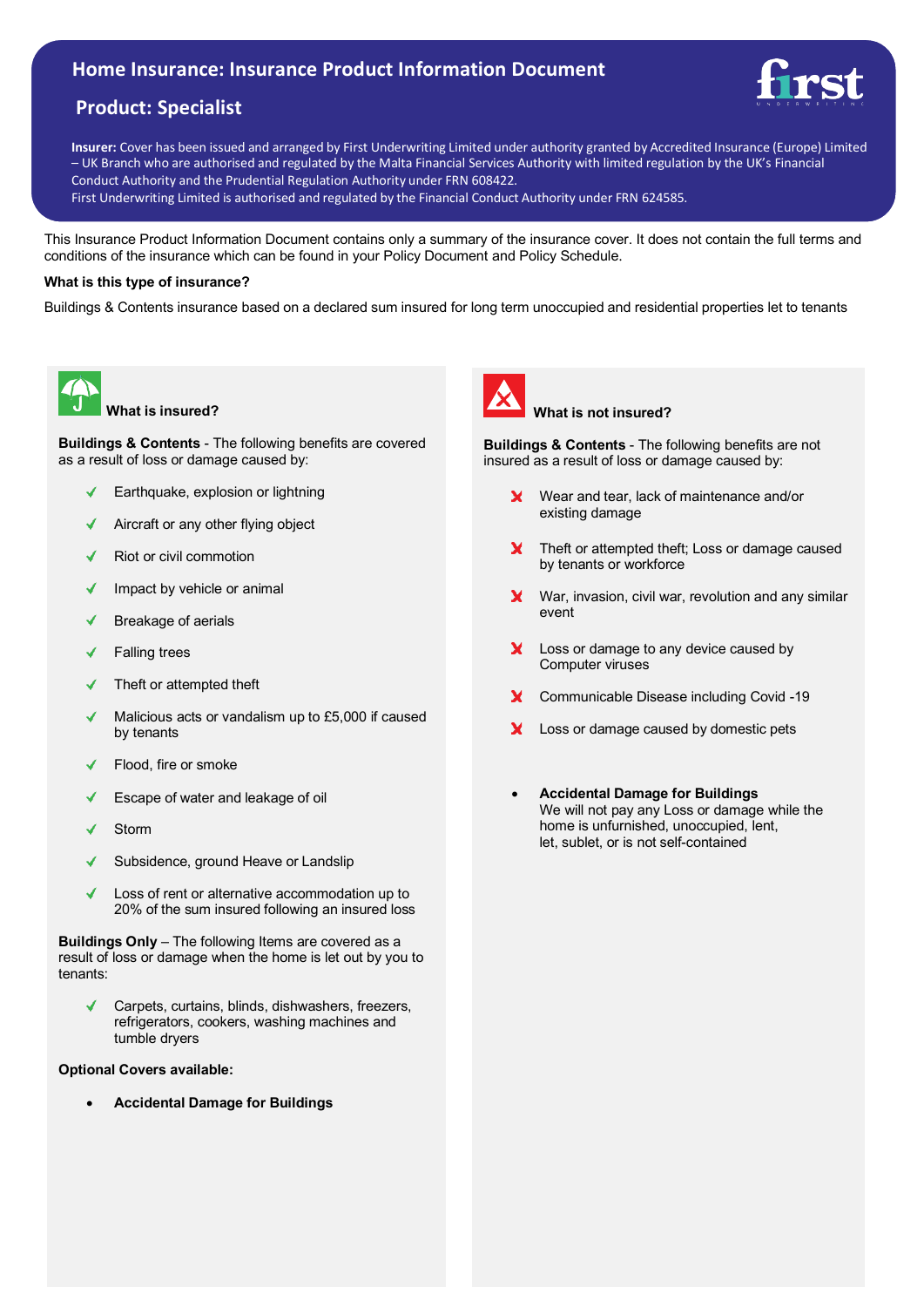# **Home Insurance: Insurance Product Information Document**

# **Product: Specialist**



**Insurer:** Cover has been issued and arranged by First Underwriting Limited under authority granted by Accredited Insurance (Europe) Limited – UK Branch who are authorised and regulated by the Malta Financial Services Authority with limited regulation by the UK's Financial Conduct Authority and the Prudential Regulation Authority under FRN 608422.

First Underwriting Limited is authorised and regulated by the Financial Conduct Authority under FRN 624585.

This Insurance Product Information Document contains only a summary of the insurance cover. It does not contain the full terms and conditions of the insurance which can be found in your Policy Document and Policy Schedule.

### **What is this type of insurance?**

Buildings & Contents insurance based on a declared sum insured for long term unoccupied and residential properties let to tenants



**What is insured?**

**Buildings & Contents** - The following benefits are covered as a result of loss or damage caused by:

- Earthquake, explosion or lightning
- Aircraft or any other flying object
- Riot or civil commotion
- Impact by vehicle or animal ✔
- Breakage of aerials ✔
- Falling trees
- Theft or attempted theft
- Malicious acts or vandalism up to £5,000 if caused by tenants
- Flood, fire or smoke
- Escape of water and leakage of oil ✔
- Storm
- Subsidence, ground Heave or Landslip
- Loss of rent or alternative accommodation up to 20% of the sum insured following an insured loss

**Buildings Only** – The following Items are covered as a result of loss or damage when the home is let out by you to tenants:

Carpets, curtains, blinds, dishwashers, freezers, refrigerators, cookers, washing machines and tumble dryers

## **Optional Covers available:**

• **Accidental Damage for Buildings**



## **What is not insured?**

**Buildings & Contents** - The following benefits are not insured as a result of loss or damage caused by:

- Wear and tear, lack of maintenance and/or X. existing damage
- Theft or attempted theft; Loss or damage caused **X** by tenants or workforce
- War, invasion, civil war, revolution and any similar event
- x Loss or damage to any device caused by Computer viruses
- Communicable Disease including Covid -19
- X. Loss or damage caused by domestic pets
- **Accidental Damage for Buildings** We will not pay any Loss or damage while the home is unfurnished, unoccupied, lent, let, sublet, or is not self-contained